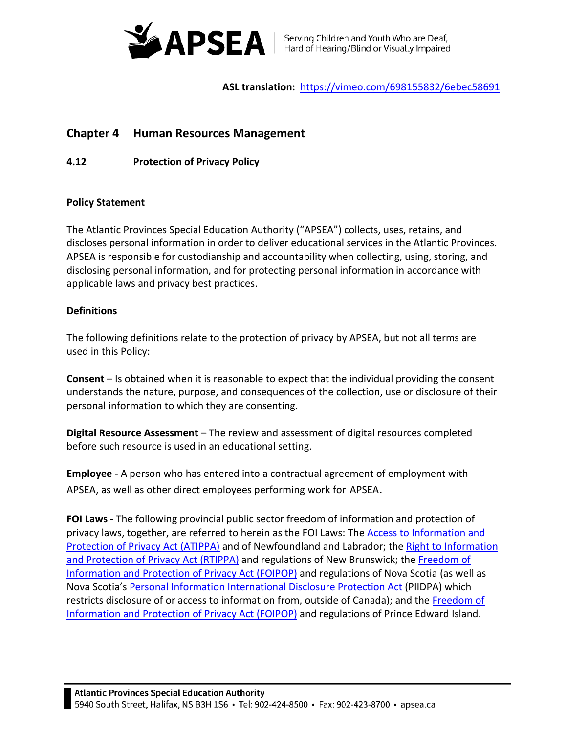

**ASL translation:** <https://vimeo.com/698155832/6ebec58691>

# **Chapter 4 Human Resources Management**

**4.12 Protection of Privacy Policy**

## **Policy Statement**

The Atlantic Provinces Special Education Authority ("APSEA") collects, uses, retains, and discloses personal information in order to deliver educational services in the Atlantic Provinces. APSEA is responsible for custodianship and accountability when collecting, using, storing, and disclosing personal information, and for protecting personal information in accordance with applicable laws and privacy best practices.

# **Definitions**

The following definitions relate to the protection of privacy by APSEA, but not all terms are used in this Policy:

**Consent** – Is obtained when it is reasonable to expect that the individual providing the consent understands the nature, purpose, and consequences of the collection, use or disclosure of their personal information to which they are consenting.

**Digital Resource Assessment** – The review and assessment of digital resources completed before such resource is used in an educational setting.

**Employee -** A person who has entered into a contractual agreement of employment with APSEA, as well as other direct employees performing work for APSEA.

**FOI Laws -** The following provincial public sector freedom of information and protection of privacy laws, together, are referred to herein as the FOI Laws: The [Access to Information and](https://www.assembly.nl.ca/legislation/sr/statutes/a01-2.htm)  [Protection of Privacy Act \(ATIPPA\)](https://www.assembly.nl.ca/legislation/sr/statutes/a01-2.htm) and of Newfoundland and Labrador; the [Right to Information](https://www.gnb.ca/legis/bill/FILE/56/3/Bill-89-e.htm)  [and Protection of Privacy Act \(RTIPPA\)](https://www.gnb.ca/legis/bill/FILE/56/3/Bill-89-e.htm) and regulations of New Brunswick; the Freedom of [Information and Protection of Privacy Act \(FOIPOP\)](https://nslegislature.ca/sites/default/files/legc/statutes/freedom%20of%20information%20and%20protection%20of%20privacy.pdf) and regulations of Nova Scotia (as well as Nova Scotia's [Personal Information International Disclosure Protection Act](https://www.canlii.org/en/ns/laws/stat/sns-2006-c-3/latest/sns-2006-c-3.html) (PIIDPA) which restricts disclosure of or access to information from, outside of Canada); and the Freedom of [Information and Protection of Privacy Act \(FOIPOP\)](https://www.princeedwardisland.ca/sites/default/files/legislation/f-15-01-freedom_of_information_and_protection_of_privacy_act.pdf) and regulations of Prince Edward Island.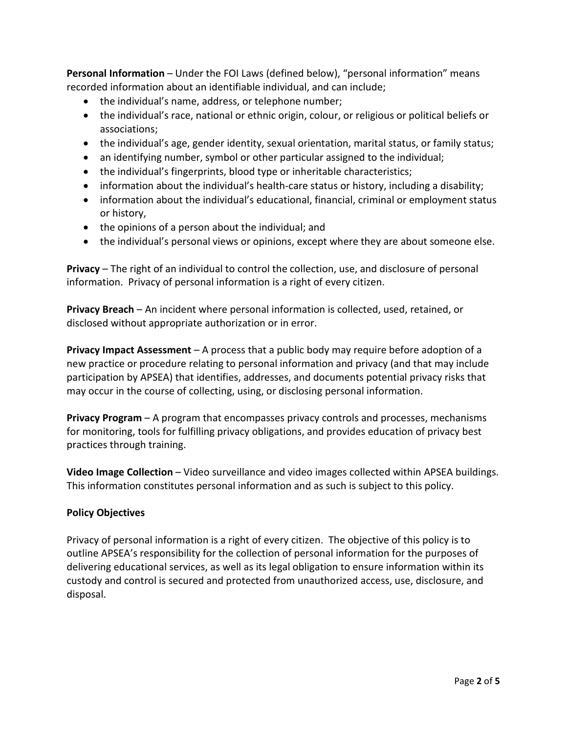**Personal Information** – Under the FOI Laws (defined below), "personal information" means recorded information about an identifiable individual, and can include;

- the individual's name, address, or telephone number;
- the individual's race, national or ethnic origin, colour, or religious or political beliefs or associations;
- the individual's age, gender identity, sexual orientation, marital status, or family status;
- an identifying number, symbol or other particular assigned to the individual;
- the individual's fingerprints, blood type or inheritable characteristics;
- information about the individual's health-care status or history, including a disability;
- information about the individual's educational, financial, criminal or employment status or history,
- the opinions of a person about the individual; and
- the individual's personal views or opinions, except where they are about someone else.

**Privacy** – The right of an individual to control the collection, use, and disclosure of personal information. Privacy of personal information is a right of every citizen.

**Privacy Breach** – An incident where personal information is collected, used, retained, or disclosed without appropriate authorization or in error.

**Privacy Impact Assessment** – A process that a public body may require before adoption of a new practice or procedure relating to personal information and privacy (and that may include participation by APSEA) that identifies, addresses, and documents potential privacy risks that may occur in the course of collecting, using, or disclosing personal information.

**Privacy Program** – A program that encompasses privacy controls and processes, mechanisms for monitoring, tools for fulfilling privacy obligations, and provides education of privacy best practices through training.

**Video Image Collection** – Video surveillance and video images collected within APSEA buildings. This information constitutes personal information and as such is subject to this policy.

#### **Policy Objectives**

Privacy of personal information is a right of every citizen. The objective of this policy is to outline APSEA's responsibility for the collection of personal information for the purposes of delivering educational services, as well as its legal obligation to ensure information within its custody and control is secured and protected from unauthorized access, use, disclosure, and disposal.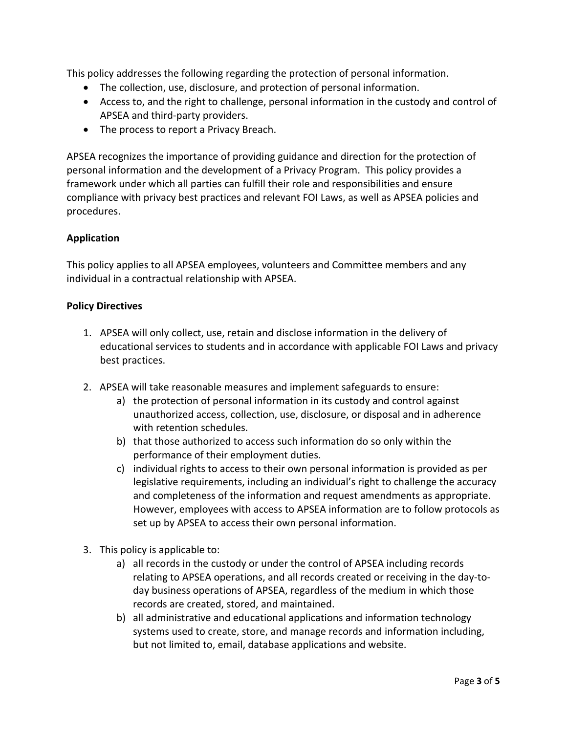This policy addresses the following regarding the protection of personal information.

- The collection, use, disclosure, and protection of personal information.
- Access to, and the right to challenge, personal information in the custody and control of APSEA and third-party providers.
- The process to report a Privacy Breach.

APSEA recognizes the importance of providing guidance and direction for the protection of personal information and the development of a Privacy Program. This policy provides a framework under which all parties can fulfill their role and responsibilities and ensure compliance with privacy best practices and relevant FOI Laws, as well as APSEA policies and procedures.

## **Application**

This policy applies to all APSEA employees, volunteers and Committee members and any individual in a contractual relationship with APSEA.

#### **Policy Directives**

- 1. APSEA will only collect, use, retain and disclose information in the delivery of educational services to students and in accordance with applicable FOI Laws and privacy best practices.
- 2. APSEA will take reasonable measures and implement safeguards to ensure:
	- a) the protection of personal information in its custody and control against unauthorized access, collection, use, disclosure, or disposal and in adherence with retention schedules.
	- b) that those authorized to access such information do so only within the performance of their employment duties.
	- c) individual rights to access to their own personal information is provided as per legislative requirements, including an individual's right to challenge the accuracy and completeness of the information and request amendments as appropriate. However, employees with access to APSEA information are to follow protocols as set up by APSEA to access their own personal information.
- 3. This policy is applicable to:
	- a) all records in the custody or under the control of APSEA including records relating to APSEA operations, and all records created or receiving in the day-today business operations of APSEA, regardless of the medium in which those records are created, stored, and maintained.
	- b) all administrative and educational applications and information technology systems used to create, store, and manage records and information including, but not limited to, email, database applications and website.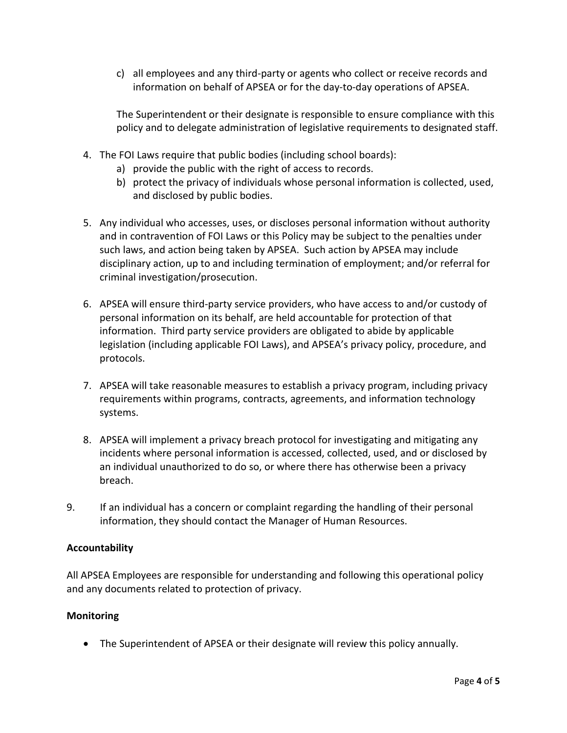c) all employees and any third-party or agents who collect or receive records and information on behalf of APSEA or for the day-to-day operations of APSEA.

The Superintendent or their designate is responsible to ensure compliance with this policy and to delegate administration of legislative requirements to designated staff.

- 4. The FOI Laws require that public bodies (including school boards):
	- a) provide the public with the right of access to records.
	- b) protect the privacy of individuals whose personal information is collected, used, and disclosed by public bodies.
- 5. Any individual who accesses, uses, or discloses personal information without authority and in contravention of FOI Laws or this Policy may be subject to the penalties under such laws, and action being taken by APSEA. Such action by APSEA may include disciplinary action, up to and including termination of employment; and/or referral for criminal investigation/prosecution.
- 6. APSEA will ensure third-party service providers, who have access to and/or custody of personal information on its behalf, are held accountable for protection of that information. Third party service providers are obligated to abide by applicable legislation (including applicable FOI Laws), and APSEA's privacy policy, procedure, and protocols.
- 7. APSEA will take reasonable measures to establish a privacy program, including privacy requirements within programs, contracts, agreements, and information technology systems.
- 8. APSEA will implement a privacy breach protocol for investigating and mitigating any incidents where personal information is accessed, collected, used, and or disclosed by an individual unauthorized to do so, or where there has otherwise been a privacy breach.
- 9. If an individual has a concern or complaint regarding the handling of their personal information, they should contact the Manager of Human Resources.

# **Accountability**

All APSEA Employees are responsible for understanding and following this operational policy and any documents related to protection of privacy.

# **Monitoring**

• The Superintendent of APSEA or their designate will review this policy annually.